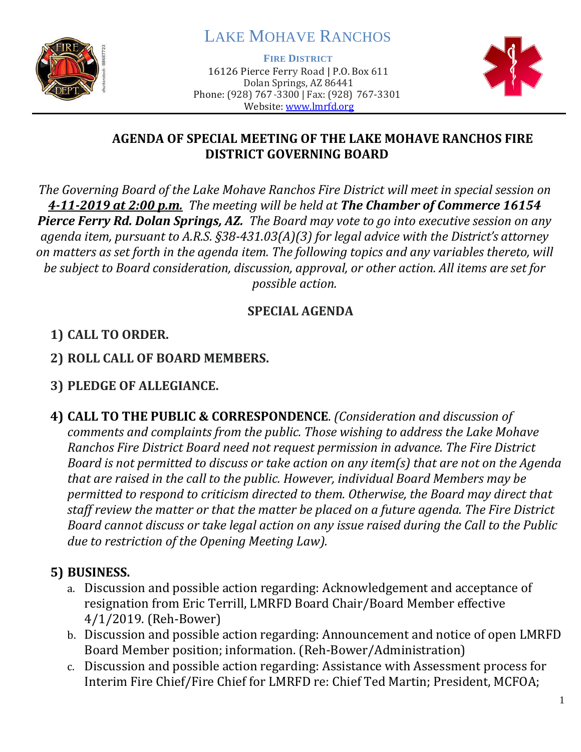

# LAKE MOHAVE RANCHOS

**FIRE DISTRICT**

16126 Pierce Ferry Road | P.O. Box 611 Dolan Springs, AZ 86441 Phone: (928) 767-3300 | Fax: (928) 767-3301 Website: [www.lmrfd.org](http://www.lmrfd.org/)



#### **AGENDA OF SPECIAL MEETING OF THE LAKE MOHAVE RANCHOS FIRE DISTRICT GOVERNING BOARD**

*The Governing Board of the Lake Mohave Ranchos Fire District will meet in special session on 4-11-2019 at 2:00 p.m. The meeting will be held at The Chamber of Commerce 16154 Pierce Ferry Rd. Dolan Springs, AZ. The Board may vote to go into executive session on any agenda item, pursuant to A.R.S. §38-431.03(A)(3) for legal advice with the District's attorney on matters as set forth in the agenda item. The following topics and any variables thereto, will be subject to Board consideration, discussion, approval, or other action. All items are set for possible action.*

### **SPECIAL AGENDA**

### **1) CALL TO ORDER.**

**2) ROLL CALL OF BOARD MEMBERS.**

## **3) PLEDGE OF ALLEGIANCE.**

**4) CALL TO THE PUBLIC & CORRESPONDENCE**. *(Consideration and discussion of comments and complaints from the public. Those wishing to address the Lake Mohave Ranchos Fire District Board need not request permission in advance. The Fire District Board is not permitted to discuss or take action on any item(s) that are not on the Agenda that are raised in the call to the public. However, individual Board Members may be permitted to respond to criticism directed to them. Otherwise, the Board may direct that staff review the matter or that the matter be placed on a future agenda. The Fire District Board cannot discuss or take legal action on any issue raised during the Call to the Public due to restriction of the Opening Meeting Law).*

### **5) BUSINESS.**

- a. Discussion and possible action regarding: Acknowledgement and acceptance of resignation from Eric Terrill, LMRFD Board Chair/Board Member effective 4/1/2019. (Reh-Bower)
- b. Discussion and possible action regarding: Announcement and notice of open LMRFD Board Member position; information. (Reh-Bower/Administration)
- c. Discussion and possible action regarding: Assistance with Assessment process for Interim Fire Chief/Fire Chief for LMRFD re: Chief Ted Martin; President, MCFOA;